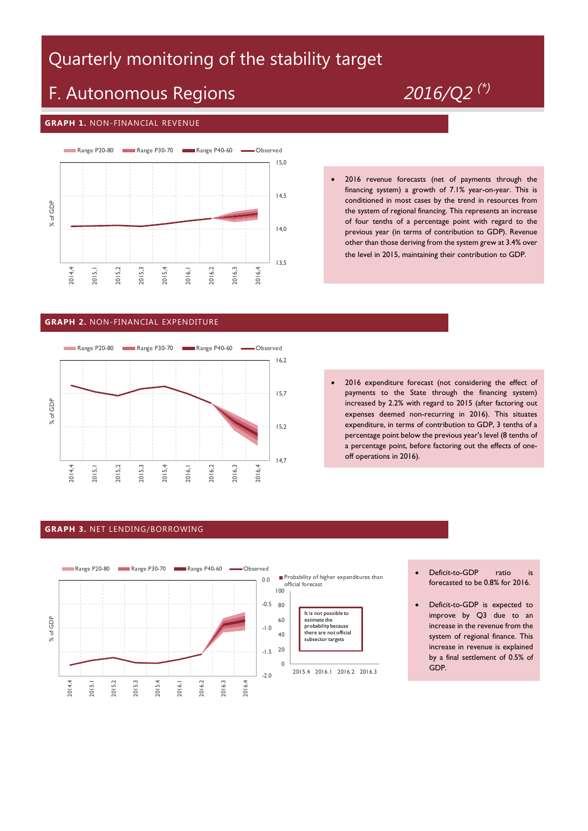# Quarterly monitoring of the stability target

# F. Autonomous Regions *2016/Q2 (\*)*

#### **GRAPH 1.** NON-FINANCIAL REVENUE



 2016 revenue forecasts (net of payments through the financing system) a growth of 7.1% year-on-year. This is conditioned in most cases by the trend in resources from the system of regional financing. This represents an increase of four tenths of a percentage point with regard to the previous year (in terms of contribution to GDP). Revenue other than those deriving from the system grew at 3.4% over the level in 2015, maintaining their contribution to GDP.

### **GRAPH 2.** NON-FINANCIAL EXPENDITURE



 2016 expenditure forecast (not considering the effect of payments to the State through the financing system) increased by 2.2% with regard to 2015 (after factoring out expenses deemed non-recurring in 2016). This situates expenditure, in terms of contribution to GDP, 3 tenths of a percentage point below the previous year's level (8 tenths of a percentage point, before factoring out the effects of oneoff operations in 2016).

#### **GRAPH 3.** NET LENDING/BORROWING



- Deficit-to-GDP ratio is forecasted to be 0.8% for 2016.
- Deficit-to-GDP is expected to improve by Q3 due to an increase in the revenue from the system of regional finance. This increase in revenue is explained by a final settlement of 0.5% of GDP.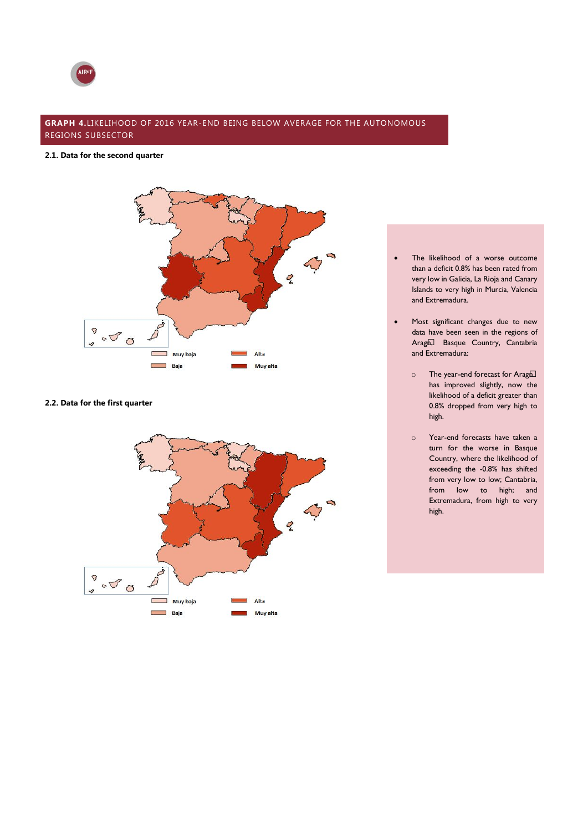

## **GRAPH 4.**LIKELIHOOD OF 2016 YEAR-END BEING BELOW AVERAGE FOR THE AUTONOMOUS REGIONS SUBSECTOR

#### **2.1. Data for the second quarter**



#### **2.2. Data for the first quarter**



- The likelihood of a worse outcome than a deficit 0.8% has been rated from very low in Galicia, La Rioja and Canary Islands to very high in Murcia, Valencia and Extremadura.
- Most significant changes due to new data have been seen in the regions of Aragó, Basque Country, Cantabria and Extremadura:
	- $\circ$  The year-end forecast for Aragón has improved slightly, now the likelihood of a deficit greater than 0.8% dropped from very high to high.
	- o Year-end forecasts have taken a turn for the worse in Basque Country, where the likelihood of exceeding the -0.8% has shifted from very low to low; Cantabria, from low to high; and Extremadura, from high to very high.